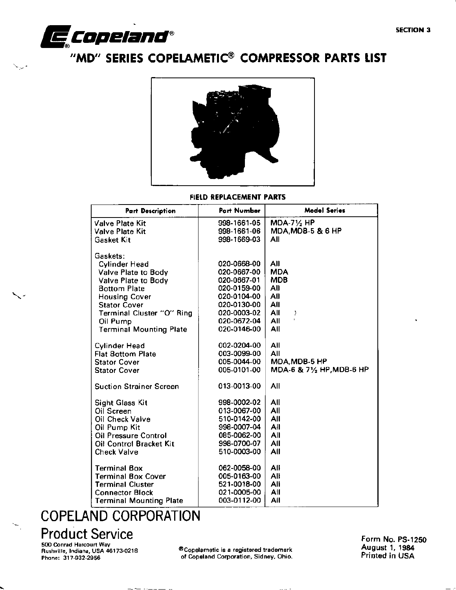

د.

# "MD" SERIES COPELAMETIC® COMPRESSOR PARTS LIST



FIELD REPLACEMENT PARTS

| <b>Part Description</b>                    | Part Number | <b>Model Series</b>          |
|--------------------------------------------|-------------|------------------------------|
| <b>Valve Plate Kit</b>                     | 998-1661-05 | $MDA-7\frac{1}{2}HP$         |
| Valve Plate Kit                            | 998-1661-06 | <b>MDA, MDB-5 &amp; 6 HP</b> |
| Gasket Kit                                 | 998-1669-03 | All                          |
|                                            |             |                              |
| Gaskets:                                   | 020-0668-00 | AII                          |
| <b>Cylinder Head</b>                       | 020-0667-00 | <b>MDA</b>                   |
| Valve Plate to Body                        | 020-0667-01 | <b>MDB</b>                   |
| Valve Plate to Body<br><b>Bottom Plate</b> | 020-0159-00 | All                          |
| <b>Housing Cover</b>                       | 020-0104-00 | All                          |
| <b>Stator Cover</b>                        | 020-0130-00 | All                          |
| Terminal Cluster "O" Ring                  | 020-0003-02 | All<br>)                     |
| Oil Pump                                   | 020-0672-04 | t.<br>All                    |
| <b>Terminal Mounting Plate</b>             | 020-0146-00 | All                          |
|                                            |             |                              |
| Cylinder Head                              | 002-0204-00 | All                          |
| <b>Flat Bottom Plate</b>                   | 003-0099-00 | All                          |
| <b>Stator Cover</b>                        | 005-0044-00 | MDA, MDB-5 HP                |
| <b>Stator Cover</b>                        | 005-0101-00 | MDA-6 & 71/2 HP, MDB-6 HP    |
| <b>Suction Strainer Screen</b>             | 013-0013-00 | All                          |
| <b>Sight Glass Kit</b>                     | 998-0002-02 | All                          |
| Oil Screen                                 | 013-0067-00 | All                          |
| Oil Check Valve                            | 510-0142-00 | All                          |
| Oil Pump Kit                               | 998-0007-04 | All                          |
| <b>Oil Pressure Control</b>                | 085-0062-00 | All                          |
| Oil Control Bracket Kit                    | 998-0700-07 | All                          |
| <b>Check Valve</b>                         | 510-0003-00 | All                          |
| <b>Terminal Box</b>                        | 062-0058-00 | All                          |
| <b>Terminal Box Cover</b>                  | 005-0163-00 | All                          |
| <b>Terminal Cluster</b>                    | 521-0018-00 | Ali                          |
| <b>Connector Block</b>                     | 021-0005-00 | All                          |
| <b>Terminal Mounting Plate</b>             | 003-0112-00 | All                          |

# **COPELAND CORPORATION**

- - - - - - - - - - - -

## **Product Service**

500 Conrad Harcourt Way<br>Rushville, Indiana, USA 46173-0218 Phone: 317-932-2956

®Copelametic is a registered trademark of Copeland Corporation, Sidney, Ohio.

Form No. PS-1250 August 1, 1984 Printed in USA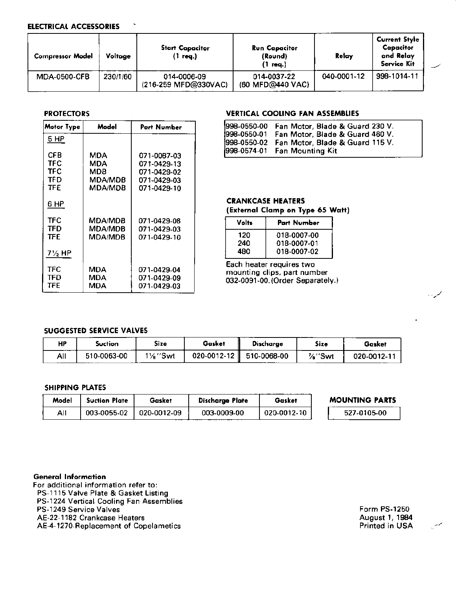### **ELECTRICAL ACCESSORIES**

| <b>Compressor Model</b> | Voltage  | <b>Start Capacitor</b><br>'1 req.)  | <b>Run Capacitor</b><br>(Round)<br>(1 req.) | Relay       | <b>Current Style</b><br>Capacitor<br>and Relay<br>Service Kit |  |
|-------------------------|----------|-------------------------------------|---------------------------------------------|-------------|---------------------------------------------------------------|--|
| MDA-0500-CFB            | 230/1/60 | 014-0006-09<br>(216-259 MFD@330VAC) | 014-0037-22<br>(60 MFD@440 VAC)             | 040-0001-12 | 998-1014-11                                                   |  |

### **PROTECTORS**

| Model<br><b>Motor Type</b>      |                                         | Part Number                                                             |
|---------------------------------|-----------------------------------------|-------------------------------------------------------------------------|
| 5 HP                            |                                         |                                                                         |
| CFB<br>TFC<br>TFC<br>TFD<br>TFF | MDA<br>MDA<br>MDB<br>MDA/MDB<br>MDA/MDB | 071-0087-03<br>071-0429-13<br>071-0429-02<br>071-0429-03<br>071-0429-10 |
| 6 HP                            |                                         |                                                                         |
| TFC<br>TFD<br>TFE               | MDA/MDB<br><b>MDA/MDB</b><br>MDA/MDB    | 071-0429-08<br>071-0429-03<br>071-0429-10                               |
| $7\frac{1}{2}$ HP               |                                         |                                                                         |
| TFC<br>TFD<br>TFE               | MDA<br>MDA<br>MDA                       | 071-0429-04<br>071-0429-09<br>071-0429-03                               |

### VERTICAL COOLING FAN ASSEMBLIES

| 998-0550-00 Fan Motor, Blade & Guard 230 V.                                                  |
|----------------------------------------------------------------------------------------------|
| 1998-0550-01 Fan Motor, Blade & Guard 460 V.<br>[998-0550-02 Fan Motor, Blade & Guard 115 V. |
| 998-0574-01 Fan Mounting Kit                                                                 |

### **CRANKCASE HEATERS**

(External Clamp on Type 65 Watt)

| Volts | <b>Part Number</b> |
|-------|--------------------|
| 120   | 018-0007-00        |
| 240   | 018-0007-01        |
| 480   | 018-0007-02        |

Each heater requires two mounting clips, part number 032-0091-00. (Order Separately.)

### **SUGGESTED SERVICE VALVES**

| НP         | Suction     | Size                   | Gasket            | Discharge   | Size  | Gasket           |
|------------|-------------|------------------------|-------------------|-------------|-------|------------------|
| All<br>___ | 510-0063-00 | 11/ <sub>8</sub> ''Swt | $020 - 0012 - 12$ | 510-0068-00 | %"Swt | $020 - 0012 - 1$ |

### SHIPPING PLATES

| Model | <b>Suction Plate</b> | Gasket      | Discharge Plate | Gasket      | <b>MOUNTING PARTS</b> |
|-------|----------------------|-------------|-----------------|-------------|-----------------------|
| All   | 003-0055-02          | 020-0012-09 | 003-0009-00     | 020-0012-10 | 527-0105-00           |

### **General Information**

For additional information refer to:

PS-1115 Valve Plate & Gasket Listing

PS-1224 Vertical Cooling Fan Assemblies

PS-1249 Service Valves

AE-22-1182 Crankcase Heaters

AE-4-1270 Replacement of Copelametics

Form PS-1250 August 1, 1984 Printed in USA